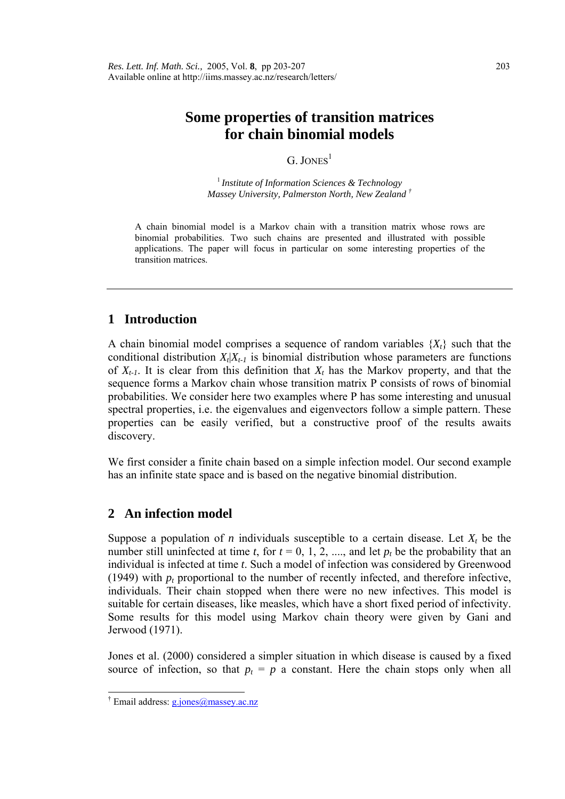# **Some properties of transition matrices for chain binomial models**

#### $G$  JONES<sup>1</sup>

<sup>1</sup>*Institute of Information Sciences & Technology Massey University, Palmerston North, New Zealand [†](#page-0-0)*

A chain binomial model is a Markov chain with a transition matrix whose rows are binomial probabilities. Two such chains are presented and illustrated with possible applications. The paper will focus in particular on some interesting properties of the transition matrices.

## **1 Introduction**

A chain binomial model comprises a sequence of random variables  ${X<sub>t</sub>}$  such that the conditional distribution  $X_t|X_{t-1}$  is binomial distribution whose parameters are functions of  $X_{t-1}$ . It is clear from this definition that  $X_t$  has the Markov property, and that the sequence forms a Markov chain whose transition matrix P consists of rows of binomial probabilities. We consider here two examples where P has some interesting and unusual spectral properties, i.e. the eigenvalues and eigenvectors follow a simple pattern. These properties can be easily verified, but a constructive proof of the results awaits discovery.

We first consider a finite chain based on a simple infection model. Our second example has an infinite state space and is based on the negative binomial distribution.

## **2 An infection model**

Suppose a population of *n* individuals susceptible to a certain disease. Let  $X_t$  be the number still uninfected at time *t*, for  $t = 0, 1, 2, \dots$ , and let  $p_t$  be the probability that an individual is infected at time *t*. Such a model of infection was considered by Greenwood (1949) with  $p_t$  proportional to the number of recently infected, and therefore infective, individuals. Their chain stopped when there were no new infectives. This model is suitable for certain diseases, like measles, which have a short fixed period of infectivity. Some results for this model using Markov chain theory were given by Gani and Jerwood (1971).

Jones et al. (2000) considered a simpler situation in which disease is caused by a fixed source of infection, so that  $p_t = p$  a constant. Here the chain stops only when all

 $\overline{a}$ 

<span id="page-0-0"></span><sup>&</sup>lt;sup>†</sup> Email address: **g.jones@massey.ac.nz**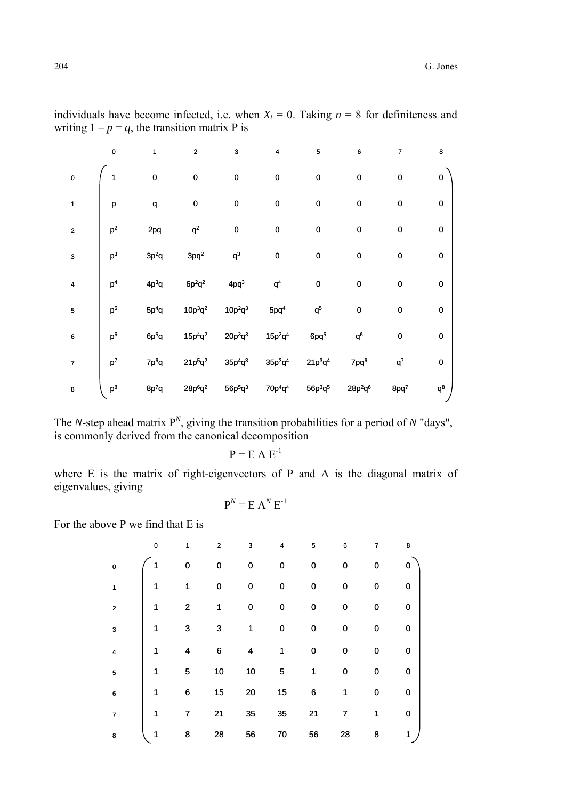|                | $\pmb{0}$      | 1                 | $\overline{\mathbf{c}}$ | 3                | 4                | 5                | 6                | $\overline{7}$          | 8         |
|----------------|----------------|-------------------|-------------------------|------------------|------------------|------------------|------------------|-------------------------|-----------|
| $\mathbf 0$    | 1              | $\bf{0}$          | 0                       | $\pmb{0}$        | $\pmb{0}$        | $\mathbf 0$      | 0                | $\mathbf 0$             | $\pmb{0}$ |
| 1              | p              | q                 | $\pmb{0}$               | $\pmb{0}$        | $\pmb{0}$        | $\mathbf 0$      | $\pmb{0}$        | $\mathbf 0$             | $\pmb{0}$ |
| $\overline{2}$ | p <sup>2</sup> | 2pq               | $\mathsf{q}^2$          | $\pmb{0}$        | $\pmb{0}$        | $\mathbf 0$      | $\pmb{0}$        | $\pmb{0}$               | $\pmb{0}$ |
| 3              | $\mathsf{p}^3$ | $3p^2q$           | $3pq^2$                 | $q^3$            | $\pmb{0}$        | $\mathbf 0$      | $\pmb{0}$        | $\pmb{0}$               | $\pmb{0}$ |
| 4              | p <sup>4</sup> | $4p^3q$           | $6p^2q^2$               | 4pq <sup>3</sup> | q <sup>4</sup>   | $\mathbf 0$      | $\pmb{0}$        | $\pmb{0}$               | $\pmb{0}$ |
| 5              | p <sup>5</sup> | $5p^4q$           | $10p^3q^2$              | $10p^2q^3$       | 5pq <sup>4</sup> | $q^5$            | $\pmb{0}$        | $\mathbf 0$             | $\pmb{0}$ |
| 6              | p <sup>6</sup> | 6p <sup>5</sup> q | $15p^{4}q^{2}$          | $20p^3q^3$       | $15p^2q^4$       | 6pq <sup>5</sup> | $q^6$            | $\mathbf 0$             | $\pmb{0}$ |
| $\overline{7}$ | $\mathsf{p}^7$ | 7p <sup>6</sup> q | $21p^{5}q^{2}$          | $35p^4q^3$       | $35p^3q^4$       | $21p^3q^4$       | 7pq <sup>6</sup> | $\mathsf{q}^\mathsf{7}$ | $\pmb{0}$ |
| 8              | $\mathsf{p}^8$ | $8p^7q$           | $28p^6q^2$              | $56p^5q^3$       | $70p^4q^4$       | $56p^3q^5$       | $28p^2q^6$       | 8pq <sup>7</sup>        | $q^8$     |

individuals have become infected, i.e. when  $X_t = 0$ . Taking  $n = 8$  for definiteness and writing  $1 - p = q$ , the transition matrix P is

The *N*-step ahead matrix  $P^N$ , giving the transition probabilities for a period of *N* "days", is commonly derived from the canonical decomposition

 $P = E \wedge E^{-1}$ 

where E is the matrix of right-eigenvectors of P and  $\Lambda$  is the diagonal matrix of eigenvalues, giving

$$
P^N = E \Lambda^N E^{-1}
$$

For the above P we find that E is

|                         | $\pmb{0}$ | 1              | $\overline{\mathbf{c}}$ | 3  | 4  | 5  | 6  | $\overline{7}$ | 8 |
|-------------------------|-----------|----------------|-------------------------|----|----|----|----|----------------|---|
| $\mathbf 0$             |           | 0              | 0                       | 0  | 0  | 0  | 0  | 0              | 0 |
| 1                       | 1         | 1              | 0                       | 0  | 0  | 0  | 0  | 0              | 0 |
| $\overline{\mathbf{c}}$ | 1         | $\overline{2}$ | 1                       | 0  | 0  | 0  | 0  | 0              | 0 |
| 3                       | 1         | 3              | 3                       | 1  | 0  | 0  | 0  | 0              | 0 |
| $\overline{\mathbf{4}}$ | 1         | 4              | 6                       | 4  | 1  | 0  | 0  | 0              | 0 |
| 5                       | 1         | 5              | 10                      | 10 | 5  | 1  | 0  | 0              | 0 |
| $6\phantom{1}6$         | 1         | 6              | 15                      | 20 | 15 | 6  | 1  | 0              | 0 |
| $\overline{7}$          | 1         | 7              | 21                      | 35 | 35 | 21 | 7  | 1              | 0 |
| 8                       | 1         | 8              | 28                      | 56 | 70 | 56 | 28 | 8              | 1 |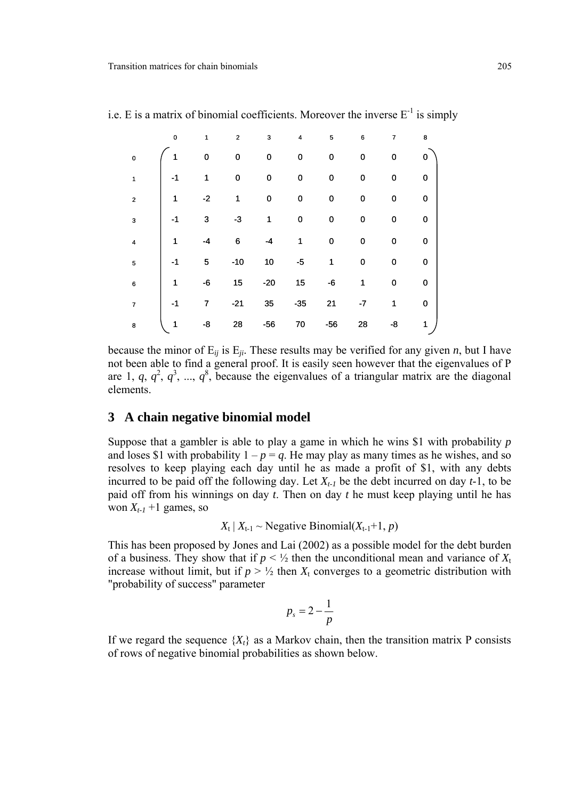|                | $\mathbf 0$ | 1    | $\boldsymbol{2}$ | 3           | $\pmb{4}$   | 5           | $\bf 6$ | 7           | 8         |
|----------------|-------------|------|------------------|-------------|-------------|-------------|---------|-------------|-----------|
| $\mathbf 0$    |             | 0    | 0                | 0           | 0           | $\pmb{0}$   | 0       | 0           | 0         |
| $\mathbf{1}$   | $-1$        | 1    | 0                | $\mathbf 0$ | $\mathbf 0$ | $\mathbf 0$ | 0       | 0           | $\pmb{0}$ |
| $\overline{2}$ | 1           | $-2$ | 1                | 0           | $\pmb{0}$   | $\mathbf 0$ | 0       | $\mathbf 0$ | 0         |
| 3              | $-1$        | 3    | $-3$             | 1           | $\mathbf 0$ | $\mathbf 0$ | 0       | 0           | $\pmb{0}$ |
| 4              | 1           | -4   | 6                | -4          | 1           | $\mathbf 0$ | 0       | 0           | $\pmb{0}$ |
| 5              | $-1$        | 5    | $-10$            | 10          | $-5$        | 1           | 0       | 0           | 0         |
| 6              | 1           | -6   | 15               | $-20$       | 15          | -6          | 1       | $\mathbf 0$ | $\pmb{0}$ |
| $\overline{7}$ | $-1$        | 7    | $-21$            | 35          | $-35$       | 21          | $-7$    | 1           | $\pmb{0}$ |
| 8              | 1           | -8   | 28               | $-56$       | 70          | $-56$       | 28      | -8          | 1         |

i.e. E is a matrix of binomial coefficients. Moreover the inverse  $E^{-1}$  is simply

because the minor of  $E_{ij}$  is  $E_{ji}$ . These results may be verified for any given *n*, but I have not been able to find a general proof. It is easily seen however that the eigenvalues of P are 1,  $q, q^2, q^3, ..., q^8$ , because the eigenvalues of a triangular matrix are the diagonal elements.

#### **3 A chain negative binomial model**

Suppose that a gambler is able to play a game in which he wins \$1 with probability *p* and loses \$1 with probability  $1 - p = q$ . He may play as many times as he wishes, and so resolves to keep playing each day until he as made a profit of \$1, with any debts incurred to be paid off the following day. Let  $X_{t-1}$  be the debt incurred on day  $t-1$ , to be paid off from his winnings on day *t*. Then on day *t* he must keep playing until he has won  $X_{t-1}$  +1 games, so

 $X_t | X_{t-1} \sim$  Negative Binomial( $X_{t-1}+1, p$ )

This has been proposed by Jones and Lai (2002) as a possible model for the debt burden of a business. They show that if  $p \leq \frac{1}{2}$  then the unconditional mean and variance of  $X_t$ increase without limit, but if  $p > \frac{1}{2}$  then  $X_t$  converges to a geometric distribution with "probability of success" parameter

$$
p_s = 2 - \frac{1}{p}
$$

If we regard the sequence  ${X<sub>t</sub>}$  as a Markov chain, then the transition matrix P consists of rows of negative binomial probabilities as shown below.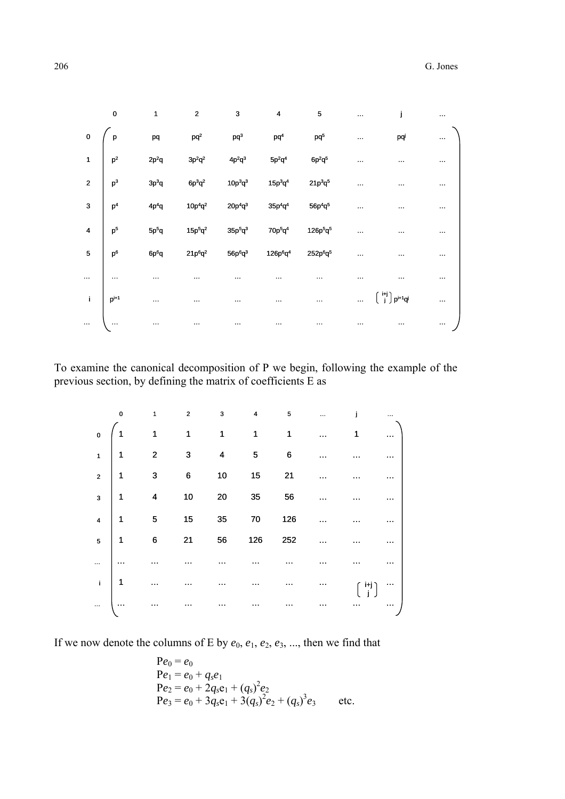|                         | $\pmb{0}$           | 1                 | $\overline{2}$  | 3          | 4                                | 5                                | $\ddotsc$ | I                                                                 |   |
|-------------------------|---------------------|-------------------|-----------------|------------|----------------------------------|----------------------------------|-----------|-------------------------------------------------------------------|---|
| $\pmb{0}$               | p                   | pq                | pq <sup>2</sup> | $pq^3$     | pq <sup>4</sup>                  | pq <sup>5</sup>                  | $\sim$    | pqi                                                               | . |
|                         | 1 $\vert p^2 \vert$ | $2p^2q$           | $3p^2q^2$       | $4p^2q^3$  | $5p^2q^4$                        | $6p^2q^5$                        |           |                                                                   |   |
| 2 <sup>7</sup>          | $\mathsf{p}^3$      | $3p^3q$           | $6p^3q^2$       | $10p^3q^3$ | $15p^3q^4$                       | $21p^3q^5$                       | $\cdots$  |                                                                   |   |
| $\overline{\mathbf{3}}$ | p <sup>4</sup>      | 4p <sup>4</sup> q | $10p^4q^2$      | $20p^4q^3$ | $35p^4q^4$                       | $56p^4q^5$                       |           |                                                                   |   |
| $\overline{4}$          | $\mathsf{p}^5$      | $5p^5q$           | $15p^5q^2$      | $35p^5q^3$ | $70p^5q^4$                       | $126p^5q^5$                      | $\sim$    |                                                                   |   |
| 5                       | $\mathsf{p}^6$      | $6p^6q$           | $21p^6q^2$      | $56p^6q^3$ | 126p <sup>6</sup> q <sup>4</sup> | 252p <sup>6</sup> q <sup>5</sup> | .         |                                                                   |   |
|                         |                     |                   |                 |            |                                  |                                  |           |                                                                   |   |
| $\mathbf{i}$            | $P^{i+1}$           | $\cdots$          |                 |            |                                  |                                  | $\ddotsc$ | $\left[ \begin{array}{c} i+j \\ j \end{array} \right] p^{i+1}q^j$ |   |
|                         |                     |                   |                 |            |                                  |                                  |           |                                                                   |   |

To examine the canonical decomposition of P we begin, following the example of the previous section, by defining the matrix of coefficients E as

|                                                                                   | $\overline{\mathbf{0}}$ | $\ddot{\mathbf{1}}$                                          |                                               |       |         | $2 \qquad 3 \qquad 4 \qquad 5$ | $\mathbf{j}$    |                  |
|-----------------------------------------------------------------------------------|-------------------------|--------------------------------------------------------------|-----------------------------------------------|-------|---------|--------------------------------|-----------------|------------------|
| $\overline{\mathbf{0}}$                                                           | $\left( 1\right)$       | $\begin{array}{cccccccc}\n1 & 1 & 1 & 1 & 1\n\end{array}$    |                                               |       |         |                                | $\overline{1}$  |                  |
| $\begin{array}{c c c c c} & & & 1 \end{array}$                                    |                         | $2 \t 3 \t 4 \t 5$                                           |                                               |       |         | $\overline{\phantom{0}}$ 6     |                 |                  |
|                                                                                   |                         | $\begin{array}{c ccccc}\n2 & 1 & 3 & 6 & 10\n\end{array}$    |                                               |       | $15$ 21 |                                |                 |                  |
|                                                                                   |                         | $\begin{array}{ c c c }\n\hline\n3 & 1 & 4\n\end{array}$     | $\begin{array}{c}\n10 \\ \hline\n\end{array}$ |       | 35 56   |                                |                 |                  |
|                                                                                   |                         | 4 $\begin{vmatrix} 1 & 5 & 15 & 35 & 70 & 126 \end{vmatrix}$ |                                               |       |         |                                |                 |                  |
| $\begin{array}{c c} 5 & 1 \end{array}$                                            |                         | $\overline{6}$                                               |                                               | 21 56 | 126     | 252                            |                 |                  |
| $\mathbb{R}$                                                                      |                         |                                                              |                                               |       |         |                                |                 |                  |
| $\begin{array}{ c c c c c }\n\hline\n\text{i} & \text{j} & \text{1}\n\end{array}$ |                         |                                                              |                                               |       |         |                                | $\frac{1+i}{2}$ | $\mathcal{O}(1)$ |
| $\ddot{\cdot}$                                                                    | $\cdots$                |                                                              |                                               |       |         |                                |                 | $\cdots$         |

If we now denote the columns of E by  $e_0$ ,  $e_1$ ,  $e_2$ ,  $e_3$ , ..., then we find that

$$
Pe_0 = e_0
$$
  
\n
$$
Pe_1 = e_0 + q_s e_1
$$
  
\n
$$
Pe_2 = e_0 + 2q_s e_1 + (q_s)^2 e_2
$$
  
\n
$$
Pe_3 = e_0 + 3q_s e_1 + 3(q_s)^2 e_2 + (q_s)^3 e_3
$$
 etc.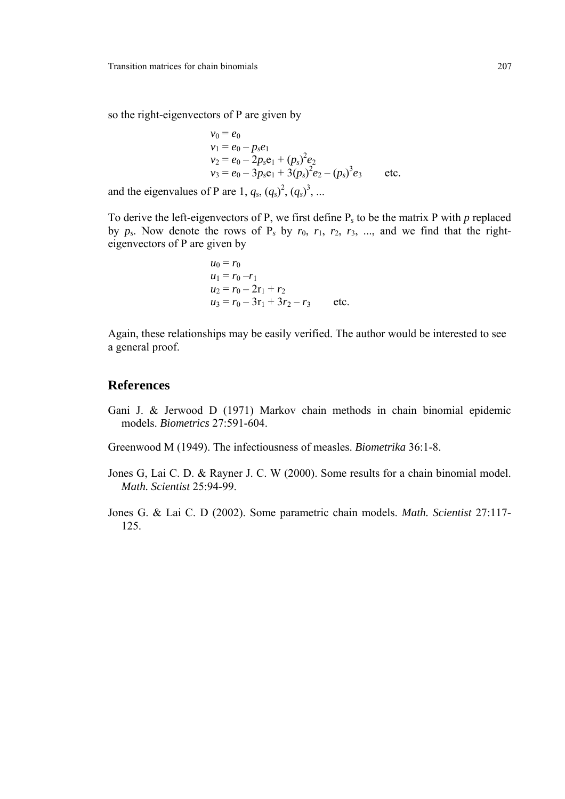so the right-eigenvectors of P are given by

$$
v_0 = e_0
$$
  
\n
$$
v_1 = e_0 - p_s e_1
$$
  
\n
$$
v_2 = e_0 - 2p_s e_1 + (p_s)^2 e_2
$$
  
\n
$$
v_3 = e_0 - 3p_s e_1 + 3(p_s)^2 e_2 - (p_s)^3 e_3
$$
 etc.

and the eigenvalues of P are 1,  $q_s$ ,  $(q_s)^2$ ,  $(q_s)^3$ , ...

To derive the left-eigenvectors of P, we first define P*s* to be the matrix P with *p* replaced by  $p_s$ . Now denote the rows of  $P_s$  by  $r_0$ ,  $r_1$ ,  $r_2$ ,  $r_3$ , ..., and we find that the righteigenvectors of P are given by

$$
u_0 = r_0
$$
  
\n
$$
u_1 = r_0 - r_1
$$
  
\n
$$
u_2 = r_0 - 2r_1 + r_2
$$
  
\n
$$
u_3 = r_0 - 3r_1 + 3r_2 - r_3
$$
 etc.

Again, these relationships may be easily verified. The author would be interested to see a general proof.

#### **References**

Gani J. & Jerwood D (1971) Markov chain methods in chain binomial epidemic models. *Biometrics* 27:591-604.

Greenwood M (1949). The infectiousness of measles. *Biometrika* 36:1-8.

- Jones G, Lai C. D. & Rayner J. C. W (2000). Some results for a chain binomial model. *Math. Scientist* 25:94-99.
- Jones G. & Lai C. D (2002). Some parametric chain models. *Math. Scientist* 27:117- 125.